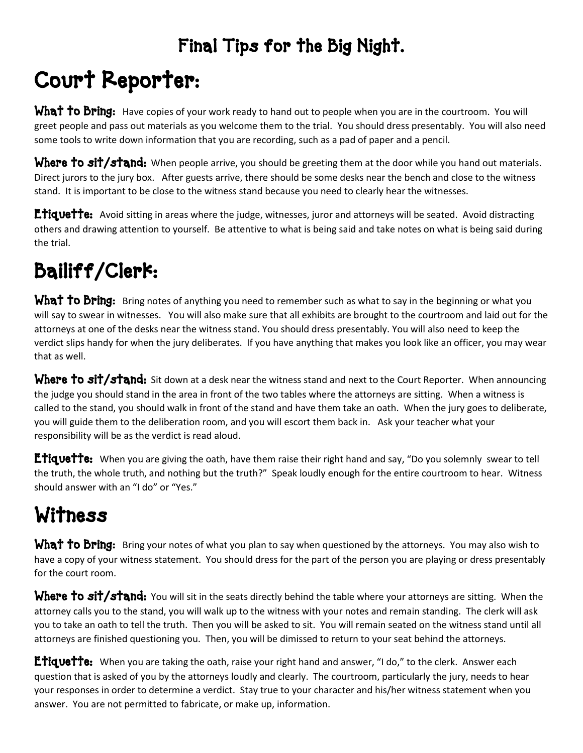### Final Tips for the Big Night.

# Court Reporter:

**What to Bring:** Have copies of your work ready to hand out to people when you are in the courtroom. You will greet people and pass out materials as you welcome them to the trial. You should dress presentably. You will also need some tools to write down information that you are recording, such as a pad of paper and a pencil.

Where to sit/stand: When people arrive, you should be greeting them at the door while you hand out materials. Direct jurors to the jury box. After guests arrive, there should be some desks near the bench and close to the witness stand. It is important to be close to the witness stand because you need to clearly hear the witnesses.

**Etiquette:** Avoid sitting in areas where the judge, witnesses, juror and attorneys will be seated. Avoid distracting others and drawing attention to yourself. Be attentive to what is being said and take notes on what is being said during the trial.

### Bailiff/Clerk:

What to Bring: Bring notes of anything you need to remember such as what to say in the beginning or what you will say to swear in witnesses. You will also make sure that all exhibits are brought to the courtroom and laid out for the attorneys at one of the desks near the witness stand. You should dress presentably. You will also need to keep the verdict slips handy for when the jury deliberates. If you have anything that makes you look like an officer, you may wear that as well.

Where to sit/stand: Sit down at a desk near the witness stand and next to the Court Reporter. When announcing the judge you should stand in the area in front of the two tables where the attorneys are sitting. When a witness is called to the stand, you should walk in front of the stand and have them take an oath. When the jury goes to deliberate, you will guide them to the deliberation room, and you will escort them back in. Ask your teacher what your responsibility will be as the verdict is read aloud.

Etiquette: When you are giving the oath, have them raise their right hand and say, "Do you solemnly swear to tell the truth, the whole truth, and nothing but the truth?" Speak loudly enough for the entire courtroom to hear. Witness should answer with an "I do" or "Yes."

## Witness

What to Bring: Bring your notes of what you plan to say when questioned by the attorneys. You may also wish to have a copy of your witness statement. You should dress for the part of the person you are playing or dress presentably for the court room.

Where to sit/stand: You will sit in the seats directly behind the table where your attorneys are sitting. When the attorney calls you to the stand, you will walk up to the witness with your notes and remain standing. The clerk will ask you to take an oath to tell the truth. Then you will be asked to sit. You will remain seated on the witness stand until all attorneys are finished questioning you. Then, you will be dimissed to return to your seat behind the attorneys.

Etiquette: When you are taking the oath, raise your right hand and answer, "I do," to the clerk. Answer each question that is asked of you by the attorneys loudly and clearly. The courtroom, particularly the jury, needs to hear your responses in order to determine a verdict. Stay true to your character and his/her witness statement when you answer. You are not permitted to fabricate, or make up, information.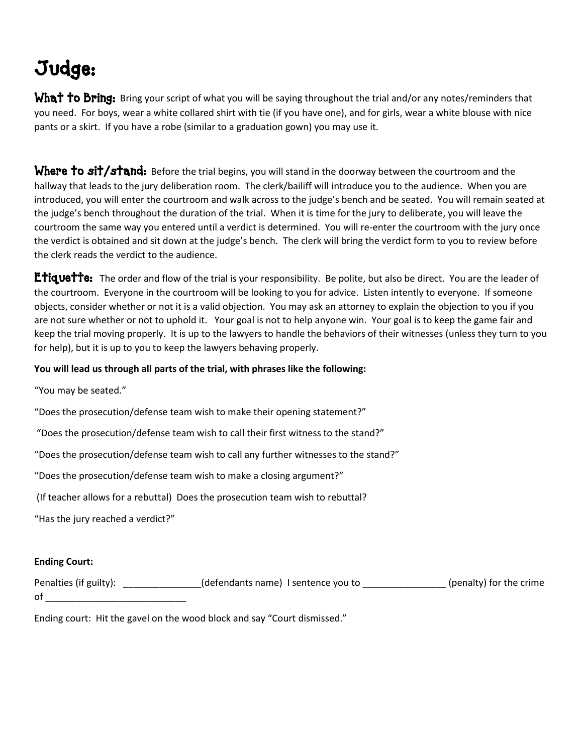### Judge:

What to Bring: Bring your script of what you will be saying throughout the trial and/or any notes/reminders that you need. For boys, wear a white collared shirt with tie (if you have one), and for girls, wear a white blouse with nice pants or a skirt. If you have a robe (similar to a graduation gown) you may use it.

Where to sit/stand: Before the trial begins, you will stand in the doorway between the courtroom and the hallway that leads to the jury deliberation room. The clerk/bailiff will introduce you to the audience. When you are introduced, you will enter the courtroom and walk across to the judge's bench and be seated. You will remain seated at the judge's bench throughout the duration of the trial. When it is time for the jury to deliberate, you will leave the courtroom the same way you entered until a verdict is determined. You will re-enter the courtroom with the jury once the verdict is obtained and sit down at the judge's bench. The clerk will bring the verdict form to you to review before the clerk reads the verdict to the audience.

Etiquette: The order and flow of the trial is your responsibility. Be polite, but also be direct. You are the leader of the courtroom. Everyone in the courtroom will be looking to you for advice. Listen intently to everyone. If someone objects, consider whether or not it is a valid objection. You may ask an attorney to explain the objection to you if you are not sure whether or not to uphold it. Your goal is not to help anyone win. Your goal is to keep the game fair and keep the trial moving properly. It is up to the lawyers to handle the behaviors of their witnesses (unless they turn to you for help), but it is up to you to keep the lawyers behaving properly.

#### **You will lead us through all parts of the trial, with phrases like the following:**

"You may be seated."

"Does the prosecution/defense team wish to make their opening statement?"

"Does the prosecution/defense team wish to call their first witness to the stand?"

"Does the prosecution/defense team wish to call any further witnesses to the stand?"

"Does the prosecution/defense team wish to make a closing argument?"

(If teacher allows for a rebuttal) Does the prosecution team wish to rebuttal?

"Has the jury reached a verdict?"

#### **Ending Court:**

Penalties (if guilty): \_\_\_\_\_\_\_\_\_\_\_\_\_\_\_(defendants name) I sentence you to \_\_\_\_\_\_\_\_\_\_\_\_\_\_\_\_(penalty) for the crime of \_\_\_\_\_\_\_\_\_\_\_\_\_\_\_\_\_\_\_\_\_\_\_\_\_\_\_

Ending court: Hit the gavel on the wood block and say "Court dismissed."